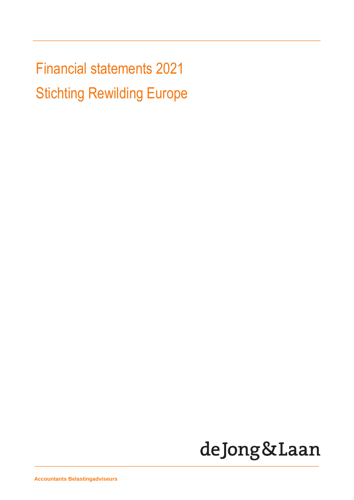Financial statements 2021 Stichting Rewilding Europe

# deJong&Laan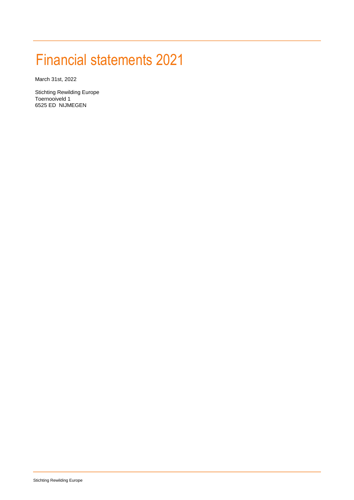## Financial statements 2021

March 31st, 2022

Stichting Rewilding Europe Toernooiveld 1 6525 ED NIJMEGEN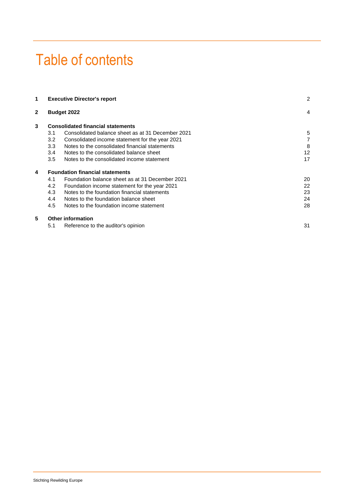## Table of contents

|     |                                                   | 2                                                                                                                                                                          |
|-----|---------------------------------------------------|----------------------------------------------------------------------------------------------------------------------------------------------------------------------------|
|     |                                                   | 4                                                                                                                                                                          |
|     |                                                   |                                                                                                                                                                            |
| 3.1 | Consolidated balance sheet as at 31 December 2021 | 5                                                                                                                                                                          |
| 3.2 | Consolidated income statement for the year 2021   | 7                                                                                                                                                                          |
| 3.3 | Notes to the consolidated financial statements    | 8                                                                                                                                                                          |
| 3.4 | Notes to the consolidated balance sheet           | 12                                                                                                                                                                         |
| 3.5 | Notes to the consolidated income statement        | 17                                                                                                                                                                         |
|     |                                                   |                                                                                                                                                                            |
| 4.1 | Foundation balance sheet as at 31 December 2021   | 20                                                                                                                                                                         |
| 4.2 | Foundation income statement for the year 2021     | 22                                                                                                                                                                         |
| 4.3 | Notes to the foundation financial statements      | 23                                                                                                                                                                         |
| 4.4 | Notes to the foundation balance sheet             | 24                                                                                                                                                                         |
| 4.5 | Notes to the foundation income statement          | 28                                                                                                                                                                         |
|     |                                                   |                                                                                                                                                                            |
| 5.1 | Reference to the auditor's opinion                | 31                                                                                                                                                                         |
|     |                                                   | <b>Executive Director's report</b><br><b>Budget 2022</b><br><b>Consolidated financial statements</b><br><b>Foundation financial statements</b><br><b>Other information</b> |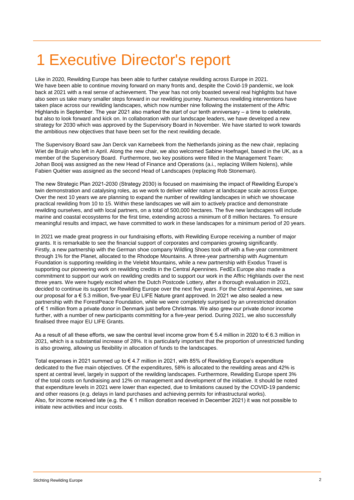## 1 Executive Director's report

Like in 2020, Rewilding Europe has been able to further catalyse rewilding across Europe in 2021. We have been able to continue moving forward on many fronts and, despite the Covid-19 pandemic, we look back at 2021 with a real sense of achievement. The year has not only boasted several real highlights but have also seen us take many smaller steps forward in our rewilding journey. Numerous rewilding interventions have taken place across our rewilding landscapes, which now number nine following the instatement of the Affric Highlands in September. The year 2021 also marked the start of our tenth anniversary – a time to celebrate, but also to look forward and kick on. In collaboration with our landscape leaders, we have developed a new strategy for 2030 which was approved by the Supervisory Board in November. We have started to work towards the ambitious new objectives that have been set for the next rewilding decade.

The Supervisory Board saw Jan Derck van Karnebeek from the Netherlands joining as the new chair, replacing Wiet de Bruijn who left in April. Along the new chair, we also welcomed Sabine Hoefnagel, based in the UK, as a member of the Supervisory Board. Furthermore, two key positions were filled in the Management Team: Johan Booij was assigned as the new Head of Finance and Operations (a.i., replacing Willem Nolens), while Fabien Quétier was assigned as the second Head of Landscapes (replacing Rob Stoneman).

The new Strategic Plan 2021-2030 (Strategy 2030) is focused on maximising the impact of Rewilding Europe's twin demonstration and catalysing roles, as we work to deliver wilder nature at landscape scale across Europe. Over the next 10 years we are planning to expand the number of rewilding landscapes in which we showcase practical rewilding from 10 to 15. Within these landscapes we will aim to actively practice and demonstrate rewilding ourselves, and with local partners, on a total of 500,000 hectares. The five new landscapes will include marine and coastal ecosystems for the first time, extending across a minimum of 8 million hectares. To ensure meaningful results and impact, we have committed to work in these landscapes for a minimum period of 20 years.

In 2021 we made great progress in our fundraising efforts, with Rewilding Europe receiving a number of major grants. It is remarkable to see the financial support of corporates and companies growing significantly. Firstly, a new partnership with the German shoe company Wildling Shoes took off with a five-year commitment through 1% for the Planet, allocated to the Rhodope Mountains. A three-year partnership with Augmentum Foundation is supporting rewilding in the Velebit Mountains, while a new partnership with Exodus Travel is supporting our pioneering work on rewilding credits in the Central Apennines. FedEx Europe also made a commitment to support our work on rewilding credits and to support our work in the Affric Highlands over the next three years. We were hugely excited when the Dutch Postcode Lottery, after a thorough evaluation in 2021, decided to continue its support for Rewilding Europe over the next five years. For the Central Apennines, we saw our proposal for a € 5.3 million, five-year EU LIFE Nature grant approved. In 2021 we also sealed a new partnership with the ForestPeace Foundation, while we were completely surprised by an unrestricted donation of € 1 million from a private donor in Denmark just before Christmas. We also grew our private donor income further, with a number of new participants committing for a five-year period. During 2021, we also successfully finalised three major EU LIFE Grants.

As a result of all these efforts, we saw the central level income grow from  $\epsilon$  5.4 million in 2020 to  $\epsilon$  6.3 million in 2021, which is a substantial increase of 28%. It is particularly important that the proportion of unrestricted funding is also growing, allowing us flexibility in allocation of funds to the landscapes.

Total expenses in 2021 summed up to € 4.7 million in 2021, with 85% of Rewilding Europe's expenditure dedicated to the five main objectives. Of the expenditures, 58% is allocated to the rewilding areas and 42% is spent at central level, largely in support of the rewilding landscapes. Furthermore, Rewilding Europe spent 3% of the total costs on fundraising and 12% on management and development of the initiative. It should be noted that expenditure levels in 2021 were lower than expected, due to limitations caused by the COVID-19 pandemic and other reasons (e.g. delays in land purchases and achieving permits for infrastructural works). Also, for income received late (e.g. the  $\epsilon$  1 million donation received in December 2021) it was not possible to initiate new activities and incur costs.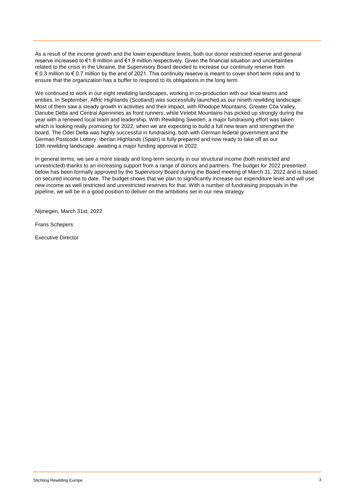As a result of the income growth and the lower expenditure levels, both our donor restricted reserve and general reserve increased to €1.8 million and €1.9 million respectively. Given the financial situation and uncertainties related to the crisis in the Ukraine, the Supervisory Board decided to increase our continuity reserve from € 0.3 million to € 0.7 million by the end of 2021. This continuity reserve is meant to cover short term risks and to ensure that the organization has a buffer to respond to its obligations in the long term.

We continued to work in our eight rewilding landscapes, working in co-production with our local teams and entities. In September, Affric Highlands (Scotland) was successfully launched as our nineth rewilding landscape. Most of them saw a steady growth in activities and their impact, with Rhodope Mountains, Greater Côa Valley, Danube Delta and Central Apennines as front runners, while Velebit Mountains has picked up strongly during the year with a renewed local team and leadership. With Rewilding Sweden, a major fundraising effort was taken which is looking really promising for 2022, when we are expecting to build a full new team and strengthen the board. The Oder Delta was highly successful in fundraising, both with German federal government and the German Postcode Lottery. Iberian Highlands (Spain) is fully prepared and now ready to take off as our 10th rewilding landscape, awaiting a major funding approval in 2022.

In general terms, we see a more steady and long-term security in our structural income (both restricted and unrestricted) thanks to an increasing support from a range of donors and partners. The budget for 2022 presented below has been formally approved by the Supervisory Board during the Board meeting of March 31, 2022 and is based on secured income to date. The budget shows that we plan to significantly increase our expenditure level and will use new income as well restricted and unrestricted reserves for that. With a number of fundraising proposals in the pipeline, we will be in a good position to deliver on the ambitions set in our new strategy.

Nijmegen, March 31st, 2022

Frans Schepers

Executive Director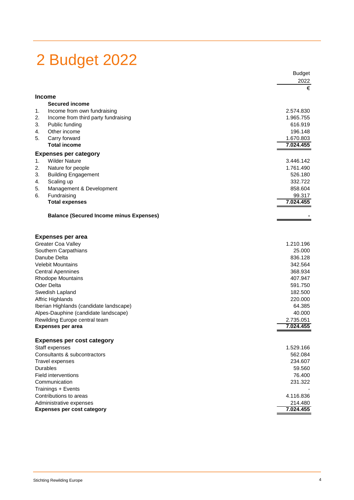## 2 Budget 2022

|                                      |                                                | <b>Budget</b> |
|--------------------------------------|------------------------------------------------|---------------|
|                                      |                                                | 2022          |
|                                      |                                                | €             |
|                                      | <b>Income</b>                                  |               |
|                                      | <b>Secured income</b>                          |               |
| 1.                                   | Income from own fundraising                    | 2.574.830     |
| 2.                                   | Income from third party fundraising            | 1.965.755     |
| 3.                                   | Public funding                                 | 616.919       |
| 4.                                   | Other income                                   | 196.148       |
| 5.                                   | Carry forward                                  | 1.670.803     |
|                                      | <b>Total income</b>                            | 7.024.455     |
|                                      | <b>Expenses per category</b>                   |               |
| 1.                                   | <b>Wilder Nature</b>                           | 3.446.142     |
| 2.                                   | Nature for people                              | 1.761.490     |
| 3.                                   | <b>Building Engagement</b>                     | 526.180       |
| 4.                                   | Scaling up                                     | 332.722       |
| 5.                                   | Management & Development                       | 858.604       |
| 6.                                   | Fundraising                                    | 99.317        |
|                                      | <b>Total expenses</b>                          | 7.024.455     |
|                                      | <b>Balance (Secured Income minus Expenses)</b> |               |
|                                      |                                                |               |
|                                      | <b>Expenses per area</b>                       |               |
|                                      | <b>Greater Coa Valley</b>                      | 1.210.196     |
| Southern Carpathians<br>Danube Delta |                                                | 25.000        |
|                                      |                                                | 836.128       |
|                                      | <b>Velebit Mountains</b>                       | 342.564       |
|                                      | <b>Central Apennines</b>                       | 368.934       |
|                                      | <b>Rhodope Mountains</b>                       | 407.947       |
|                                      | Oder Delta                                     | 591.750       |
|                                      | Swedish Lapland                                | 182.500       |
|                                      | Affric Highlands                               | 220.000       |
|                                      | Iberian Highlands (candidate landscape)        | 64.385        |
|                                      | Alpes-Dauphine (candidate landscape)           | 40.000        |
|                                      | Rewilding Europe central team                  | 2.735.051     |
|                                      | <b>Expenses per area</b>                       | 7.024.455     |
|                                      | <b>Expenses per cost category</b>              |               |
|                                      | Staff expenses                                 | 1.529.166     |
|                                      | Consultants & subcontractors                   | 562.084       |
|                                      | <b>Travel expenses</b>                         | 234.607       |
|                                      | Durables                                       | 59.560        |
|                                      | Field interventions                            | 76.400        |
|                                      | Communication                                  | 231.322       |
|                                      | Trainings + Events                             |               |
|                                      | Contributions to areas                         | 4.116.836     |
|                                      | Administrative expenses                        | 214.480       |
|                                      | <b>Expenses per cost category</b>              | 7.024.455     |
|                                      |                                                |               |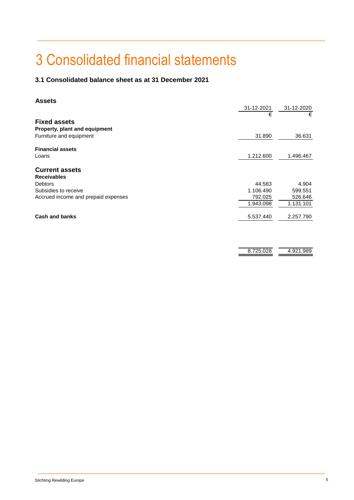## 3 Consolidated financial statements

## **3.1 Consolidated balance sheet as at 31 December 2021**

## **Assets**

|                                     | 31-12-2021 | 31-12-2020 |
|-------------------------------------|------------|------------|
|                                     | €          | €          |
| <b>Fixed assets</b>                 |            |            |
| Property, plant and equipment       |            |            |
| Furniture and equipment             | 31.890     | 36.631     |
| <b>Financial assets</b>             |            |            |
| Loans                               | 1.212.600  | 1.496.467  |
| <b>Current assets</b>               |            |            |
| <b>Receivables</b>                  |            |            |
| <b>Debtors</b>                      | 44.583     | 4.904      |
| Subsidies to receive                | 1.106.490  | 599.551    |
| Accrued income and prepaid expenses | 792.025    | 526.646    |
|                                     | 1.943.098  | 1.131.101  |
| <b>Cash and banks</b>               | 5.537.440  | 2.257.790  |
|                                     |            |            |
|                                     |            |            |

| н.<br>ר | ン1 |
|---------|----|
|         |    |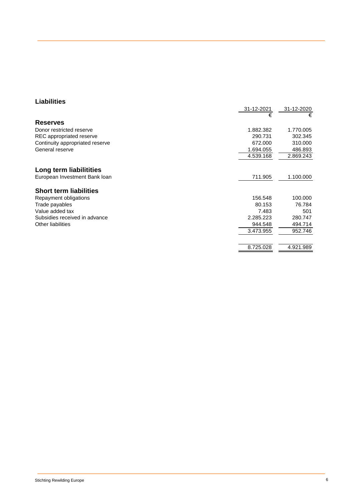## **Liabilities**

|                                 | 31-12-2021 | 31-12-2020 |
|---------------------------------|------------|------------|
|                                 | €          | €          |
| <b>Reserves</b>                 |            |            |
| Donor restricted reserve        | 1.882.382  | 1.770.005  |
| REC appropriated reserve        | 290.731    | 302.345    |
| Continuity appropriated reserve | 672.000    | 310.000    |
| General reserve                 | 1.694.055  | 486.893    |
|                                 | 4.539.168  | 2.869.243  |
| Long term liabilitities         |            |            |
| European Investment Bank loan   | 711.905    | 1.100.000  |
| <b>Short term liabilities</b>   |            |            |
| Repayment obligations           | 156.548    | 100.000    |
| Trade payables                  | 80.153     | 76.784     |
| Value added tax                 | 7.483      | 501        |
| Subsidies received in advance   | 2.285.223  | 280.747    |
| <b>Other liabilities</b>        | 944.548    | 494.714    |
|                                 | 3.473.955  | 952.746    |
|                                 |            |            |
|                                 | 8.725.028  | 4.921.989  |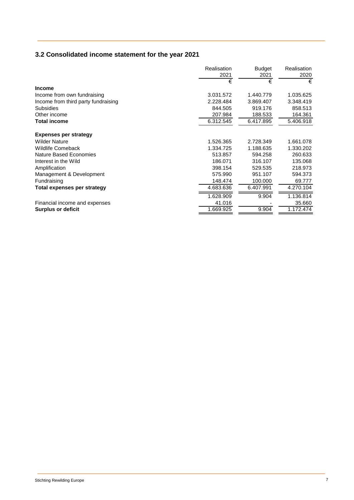## **3.2 Consolidated income statement for the year 2021**

|                                     | Realisation | <b>Budget</b> | Realisation |
|-------------------------------------|-------------|---------------|-------------|
|                                     | 2021        | 2021          | 2020        |
|                                     | €           | €             | €           |
| <b>Income</b>                       |             |               |             |
| Income from own fundraising         | 3.031.572   | 1.440.779     | 1.035.625   |
| Income from third party fundraising | 2.228.484   | 3.869.407     | 3.348.419   |
| <b>Subsidies</b>                    | 844.505     | 919.176       | 858.513     |
| Other income                        | 207.984     | 188.533       | 164.361     |
| <b>Total income</b>                 | 6.312.545   | 6.417.895     | 5.406.918   |
| <b>Expenses per strategy</b>        |             |               |             |
| <b>Wilder Nature</b>                | 1.526.365   | 2.728.349     | 1.661.078   |
| <b>Wildlife Comeback</b>            | 1.334.725   | 1.188.635     | 1.330.202   |
| Nature Based Economies              | 513.857     | 594.258       | 260.633     |
| Interest in the Wild                | 186.071     | 316.107       | 135.068     |
| Amplification                       | 398.154     | 529.535       | 218.973     |
| Management & Development            | 575.990     | 951.107       | 594.373     |
| Fundraising                         | 148.474     | 100.000       | 69.777      |
| Total expenses per strategy         | 4.683.636   | 6.407.991     | 4.270.104   |
|                                     | 1.628.909   | 9.904         | 1.136.814   |
| Financial income and expenses       | 41.016      |               | 35.660      |
| <b>Surplus or deficit</b>           | 1.669.925   | 9.904         | 1.172.474   |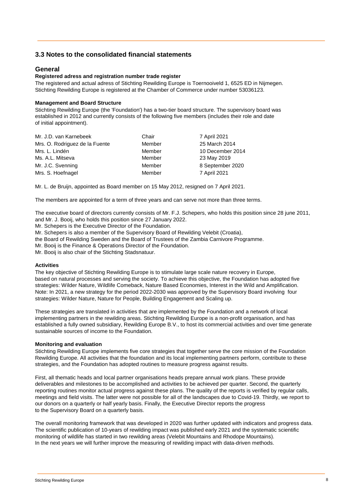## **3.3 Notes to the consolidated financial statements**

## **General**

## **Registered adress and registration number trade register**

The registered and actual adress of Stichting Rewilding Europe is Toernooiveld 1, 6525 ED in Nijmegen. Stichting Rewilding Europe is registered at the Chamber of Commerce under number 53036123.

## **Management and Board Structure**

Stichting Rewilding Europe (the 'Foundation') has a two-tier board structure. The supervisory board was established in 2012 and currently consists of the following five members (includes their role and date of initial appointment).

| Mr. J.D. van Karnebeek         | Chair  | 7 April 2021     |
|--------------------------------|--------|------------------|
| Mrs. O. Rodriguez de la Fuente | Member | 25 March 2014    |
| Mrs. L. Lindén                 | Member | 10 December 2014 |
| Ms. A.L. Mitseva               | Member | 23 May 2019      |
| Mr. J.C. Svenning              | Member | 8 September 2020 |
| Mrs. S. Hoefnagel              | Member | 7 April 2021     |
|                                |        |                  |

Mr. L. de Bruijn, appointed as Board member on 15 May 2012, resigned on 7 April 2021.

The members are appointed for a term of three years and can serve not more than three terms.

The executive board of directors currently consists of Mr. F.J. Schepers, who holds this position since 28 june 2011, and Mr. J. Booij, who holds this position since 27 January 2022.

Mr. Schepers is the Executive Director of the Foundation.

Mr. Schepers is also a member of the Supervisory Board of Rewilding Velebit (Croatia),

the Board of Rewilding Sweden and the Board of Trustees of the Zambia Carnivore Programme.

Mr. Booij is the Finance & Operations Director of the Foundation.

Mr. Booij is also chair of the Stichting Stadsnatuur.

#### **Activities**

The key objective of Stichting Rewilding Europe is to stimulate large scale nature recovery in Europe, based on natural processes and serving the society. To achieve this objective, the Foundation has adopted five strategies: Wilder Nature, Wildlife Comeback, Nature Based Economies, Interest in the Wild and Amplification. Note: In 2021, a new strategy for the period 2022-2030 was approved by the Supervisory Board involving four strategies: Wilder Nature, Nature for People, Building Engagement and Scaling up.

These strategies are translated in activities that are implemented by the Foundation and a network of local implementing partners in the rewilding areas. Stichting Rewilding Europe is a non-profit organisation, and has established a fully owned subsidiary, Rewilding Europe B.V., to host its commercial activities and over time generate sustainable sources of income to the Foundation.

#### **Monitoring and evaluation**

Stichting Rewilding Europe implements five core strategies that together serve the core mission of the Foundation Rewilding Europe. All activities that the foundation and its local implementing partners perform, contribute to these strategies, and the Foundation has adopted routines to measure progress against results.

First, all thematic heads and local partner organisations heads prepare annual work plans. These provide deliverables and milestones to be accomplished and activities to be achieved per quarter. Second, the quarterly reporting routines monitor actual progress against these plans. The quality of the reports is verified by regular calls, meetings and field visits. The latter were not possible for all of the landscapes due to Covid-19. Thirdly, we report to our donors on a quarterly or half yearly basis. Finally, the Executive Director reports the progress to the Supervisory Board on a quarterly basis.

The overall monitoring framework that was developed in 2020 was further updated with indicators and progress data. The scientific publication of 10-years of rewilding impact was published early 2021 and the systematic scientific monitoring of wildlife has started in two rewilding areas (Velebit Mountains and Rhodope Mountains). In the next years we will further improve the measuring of rewilding impact with data-driven methods.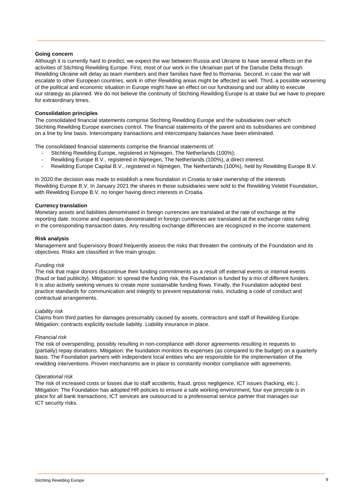#### **Going concern**

Although it is currently hard to predict, we expect the war between Russia and Ukraine to have several effects on the activities of Stichting Rewilding Europe. First, most of our work in the Ukrainian part of the Danube Delta through Rewilding Ukraine will delay as team members and their families have fled to Romania. Second, in case the war will escalate to other European countries, work in other Rewilding areas might be affected as well. Third, a possible worsening of the political and economic situation in Europe might have an effect on our fundraising and our ability to execute our strategy as planned. We do not believe the continuity of Stichting Rewilding Europe is at stake but we have to prepare for extraordinary times.

## **Consolidation principles**

The consolidated financial statements comprise Stichting Rewilding Europe and the subsidiaries over which Stichting Rewilding Europe exercises control. The financial statements of the parent and its subsidiaries are combined on a line by line basis. Intercompany transactions and intercompany balances have been eliminated.

The consolidated financial statements comprise the financial statements of:

- Stichting Rewilding Europe, registered in Nijmegen, The Netherlands (100%);
- Rewilding Europe B.V., registered in Nijmegen, The Netherlands (100%), a direct interest.
- Rewilding Europe Capital B.V., registered in Nijmegen, The Netherlands (100%), held by Rewilding Europe B.V.

In 2020 the decision was made to establish a new foundation in Croatia to take ownership of the interests Rewilding Europe B.V. In January 2021 the shares in these subsidiaries were sold to the Rewilding Velebit Foundation, with Rewilding Europe B.V. no longer having direct interests in Croatia.

### **Currency translation**

Monetary assets and liabilities denominated in foreign currencies are translated at the rate of exchange at the reporting date. Income and expenses denominated in foreign currencies are translated at the exchange rates ruling in the corresponding transaction dates. Any resulting exchange differencies are recognized in the income statement.

#### **Risk analysis**

Management and Supervisory Board frequently assess the risks that threaten the continuity of the Foundation and its objectives. Risks are classified in five main groups:

#### *Funding risk*

The risk that major donors discontinue their funding commitments as a result off external events or internal events (fraud or bad publicity). Mitigation: to spread the funding risk, the Foundation is funded by a mix of different funders. It is also actively seeking venues to create more sustainable funding flows. Finally, the Foundation adopted best practice standards for communication and integrity to prevent reputational risks, including a code of conduct and contractual arrangements.

#### *Liability risk*

Claims from third parties for damages presumably caused by assets, contractors and staff of Rewilding Europe. Mitigation: contracts explicitly exclude liability. Liability insurance in place.

#### *Financial risk*

The risk of overspending, possibly resulting in non-compliance with donor agreements resulting in requests to (partially) repay donations. Mitigation: the foundation monitors its expenses (as compared to the budget) on a quarterly basis. The Foundation partners with independent local entities who are responsible for the implementation of the rewilding interventions. Proven mechanisms are in place to constantly monitor compliance with agreements.

#### *Operational risk*

The risk of increased costs or losses due to staff accidents, fraud, gross negligence, ICT issues (hacking, etc.). Mitigation: The Foundation has adopted HR policies to ensure a safe working environment; four eye principle is in place for all bank transactions; ICT services are outsourced to a professional service partner that manages our ICT security risks.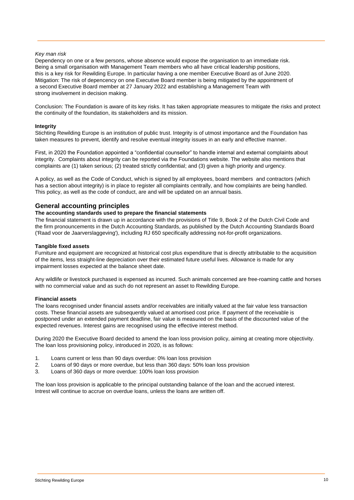## *Key man risk*

Dependency on one or a few persons, whose absence would expose the organisation to an immediate risk. Being a small organisation with Management Team members who all have critical leadership positions, this is a key risk for Rewilding Europe. In particular having a one member Executive Board as of June 2020. Mitigation: The risk of depencency on one Executive Board member is being mitigated by the appointment of a second Executive Board member at 27 January 2022 and establishing a Management Team with strong involvement in decision making.

Conclusion: The Foundation is aware of its key risks. It has taken appropriate measures to mitigate the risks and protect the continuity of the foundation, its stakeholders and its mission.

#### **Integrity**

Stichting Rewilding Europe is an institution of public trust. Integrity is of utmost importance and the Foundation has taken measures to prevent, identify and resolve eventual integrity issues in an early and effective manner.

First, in 2020 the Foundation appointed a "confidential counsellor" to handle internal and external complaints about integrity. Complaints about integrity can be reported via the Foundations website. The website also mentions that complaints are (1) taken serious; (2) treated strictly confidential; and (3) given a high priority and urgency.

A policy, as well as the Code of Conduct, which is signed by all employees, board members and contractors (which has a section about integrity) is in place to register all complaints centrally, and how complaints are being handled. This policy, as well as the code of conduct, are and will be updated on an annual basis.

## **General accounting principles**

## **The accounting standards used to prepare the financial statements**

The financial statement is drawn up in accordance with the provisions of Title 9, Book 2 of the Dutch Civil Code and the firm pronouncements in the Dutch Accounting Standards, as published by the Dutch Accounting Standards Board ('Raad voor de Jaarverslaggeving'), including RJ 650 specifically addressing not-for-profit organizations.

## **Tangible fixed assets**

Furniture and equipment are recognized at historical cost plus expenditure that is directly attributable to the acquisition of the items, less straight-line depreciation over their estimated future useful lives. Allowance is made for any impairment losses expected at the balance sheet date.

Any wildlife or livestock purchased is expensed as incurred. Such animals concerned are free-roaming cattle and horses with no commercial value and as such do not represent an asset to Rewilding Europe.

#### **Financial assets**

The loans recognised under financial assets and/or receivables are initially valued at the fair value less transaction costs. These financial assets are subsequently valued at amortised cost price. If payment of the receivable is postponed under an extended payment deadline, fair value is measured on the basis of the discounted value of the expected revenues. Interest gains are recognised using the effective interest method.

During 2020 the Executive Board decided to amend the loan loss provision policy, aiming at creating more objectivity. The loan loss provisioning policy, introduced in 2020, is as follows:

- 1. Loans current or less than 90 days overdue: 0% loan loss provision
- 2. Loans of 90 days or more overdue, but less than 360 days: 50% loan loss provision
- 3. Loans of 360 days or more overdue: 100% loan loss provision

The loan loss provision is applicable to the principal outstanding balance of the loan and the accrued interest. Intrest will continue to accrue on overdue loans, unless the loans are written off.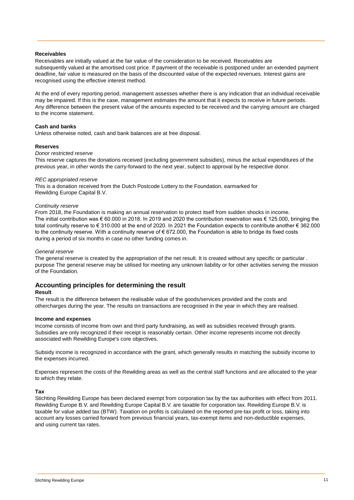### **Receivables**

Receivables are initially valued at the fair value of the consideration to be received. Receivables are subsequently valued at the amortised cost price. If payment of the receivable is postponed under an extended payment deadline, fair value is measured on the basis of the discounted value of the expected revenues. Interest gains are recognised using the effective interest method.

At the end of every reporting period, management assesses whether there is any indication that an individual receivable may be impaired. If this is the case, management estimates the amount that it expects to receive in future periods. Any difference between the present value of the amounts expected to be received and the carrying amount are charged to the income statement.

## **Cash and banks**

Unless otherwise noted, cash and bank balances are at free disposal.

#### **Reserves**

## *Donor restricted reserve*

This reserve captures the donations received (excluding government subsidies), minus the actual expenditures of the previous year, in other words the carry-forward to the next year, subject to approval by he respective donor.

#### *REC appropriated reserve*

This is a donation received from the Dutch Postcode Lottery to the Foundation, earmarked for Rewilding Europe Capital B.V.

#### *Continuity reserve*

From 2018, the Foundation is making an annual reservation to protect itself from sudden shocks in income. The initial contribution was € 60.000 in 2018. In 2019 and 2020 the contribution reservation was € 125.000, bringing the total continuity reserve to € 310.000 at the end of 2020. In 2021 the Foundation expects to contribute another € 362.000 to the continuity reserve. With a continuity reserve of  $\epsilon$  672.000, the Foundation is able to bridge its fixed costs during a period of six months in case no other funding comes in.

#### *General reserve*

The general reserve is created by the appropriation of the net result. It is created without any specific or particular. purpose The general reserve may be utilised for meeting any unknown liability or for other activities serving the mission of the Foundation.

## **Accounting principles for determining the result**

#### **Result**

The result is the difference between the realisable value of the goods/services provided and the costs and other charges during the year. The results on transactions are recognised in the year in which they are realised.

#### **Income and expenses**

Income consists of income from own and third party fundraising, as well as subsidies received through grants. Subsidies are only recognized if their receipt is reasonably certain. Other income represents income not directly associated with Rewilding Europe's core objectives.

Subsidy income is recognized in accordance with the grant, which generally results in matching the subsidy income to the expenses incurred.

Expenses represent the costs of the Rewilding areas as well as the central staff functions and are allocated to the year to which they relate.

#### **Tax**

Stichting Rewilding Europe has been declared exempt from corporation tax by the tax authorities with effect from 2011. Rewilding Europe B.V. and Rewilding Europe Capital B.V. are taxable for corporation tax. Rewilding Europe B.V. is taxable for value added tax (BTW). Taxation on profits is calculated on the reported pre-tax profit or loss, taking into account any losses carried forward from previous financial years, tax-exempt items and non-deductible expenses, and using current tax rates.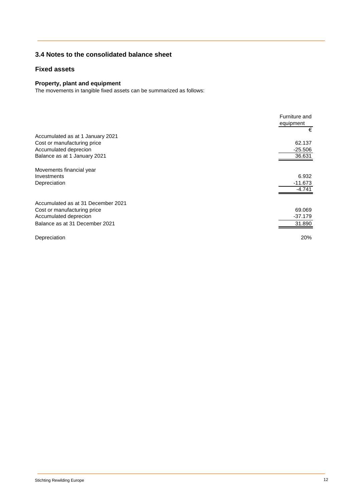## **3.4 Notes to the consolidated balance sheet**

## **Fixed assets**

## **Property, plant and equipment**

The movements in tangible fixed assets can be summarized as follows:

|                                    | Furniture and<br>equipment<br>€ |
|------------------------------------|---------------------------------|
| Accumulated as at 1 January 2021   |                                 |
| Cost or manufacturing price        | 62.137                          |
| Accumulated deprecion              | $-25.506$                       |
| Balance as at 1 January 2021       | 36.631                          |
|                                    |                                 |
| Movements financial year           |                                 |
| Investments                        | 6.932                           |
| Depreciation                       | $-11.673$                       |
|                                    | $-4.741$                        |
| Accumulated as at 31 December 2021 |                                 |
| Cost or manufacturing price        | 69.069                          |
| Accumulated deprecion              | $-37.179$                       |
| Balance as at 31 December 2021     | 31.890                          |
|                                    |                                 |
| Depreciation                       | 20%                             |
|                                    |                                 |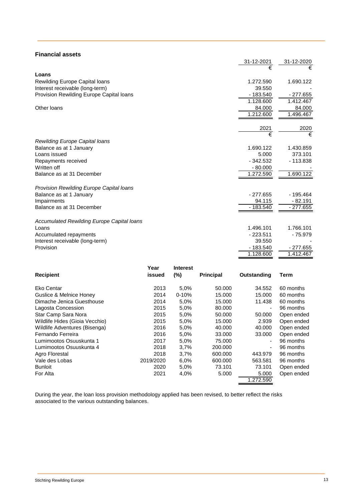| <b>Financial assets</b>                    |            |            |
|--------------------------------------------|------------|------------|
|                                            | 31-12-2021 | 31-12-2020 |
|                                            | €          | €          |
| Loans                                      |            |            |
| <b>Rewilding Europe Capital loans</b>      | 1.272.590  | 1.690.122  |
| Interest receivable (long-term)            | 39.550     |            |
| Provision Rewilding Europe Capital loans   | $-183.540$ | $-277.655$ |
|                                            | 1.128.600  | 1.412.467  |
| Other loans                                | 84.000     | 84.000     |
|                                            | 1.212.600  | 1.496.467  |
|                                            | 2021       | 2020       |
|                                            | €          | €          |
| Rewilding Europe Capital loans             |            |            |
| Balance as at 1 January                    | 1.690.122  | 1.430.859  |
| Loans issued                               | 5.000      | 373.101    |
| Repayments received                        | $-342.532$ | $-113.838$ |
| Written off                                | $-80.000$  |            |
| Balance as at 31 December                  | 1.272.590  | 1.690.122  |
|                                            |            |            |
| Provision Rewilding Europe Capital Ioans   |            |            |
| Balance as at 1 January                    | $-277.655$ | $-195.464$ |
| Impairments                                | 94.115     | $-82.191$  |
| Balance as at 31 December                  | - 183.540  | $-277.655$ |
| Accumulated Rewilding Europe Capital Ioans |            |            |
| Loans                                      | 1.496.101  | 1.766.101  |
| Accumulated repayments                     | $-223.511$ | - 75.979   |
| Interest receivable (long-term)            | 39.550     |            |
| Provision                                  | $-183.540$ | $-277.655$ |
|                                            | 1.128.600  | 1.412.467  |

|                                | Year      | <b>Interest</b> |                  |                          |            |
|--------------------------------|-----------|-----------------|------------------|--------------------------|------------|
| <b>Recipient</b>               | issued    | $(\% )$         | <b>Principal</b> | Outstanding              | Term       |
| Eko Centar                     | 2013      | 5,0%            | 50.000           | 34.552                   | 60 months  |
| Guslice & Melnice Honey        | 2014      | $0 - 10%$       | 15.000           | 15.000                   | 60 months  |
| Dimache Jenica Guesthouse      | 2014      | 5,0%            | 15.000           | 11.438                   | 60 months  |
| Lagosta Concession             | 2015      | 5,0%            | 80,000           | ٠                        | 96 months  |
| Star Camp Sara Nora            | 2015      | 5,0%            | 50.000           | 50,000                   | Open ended |
| Wildlife Hides (Gioia Vecchio) | 2015      | 5,0%            | 15.000           | 2.939                    | Open ended |
| Wildlife Adventures (Bisenga)  | 2016      | 5,0%            | 40.000           | 40.000                   | Open ended |
| Fernando Ferreira              | 2016      | 5,0%            | 33.000           | 33,000                   | Open ended |
| Lumimootos Osuuskunta 1        | 2017      | 5,0%            | 75.000           | $\overline{\phantom{0}}$ | 96 months  |
| Lumimootos Osuuskunta 4        | 2018      | 3.7%            | 200.000          | ٠                        | 96 months  |
| Agro Florestal                 | 2018      | 3.7%            | 600,000          | 443.979                  | 96 months  |
| Vale des Lobas                 | 2019/2020 | 6.0%            | 600,000          | 563.581                  | 96 months  |
| <b>Bunloit</b>                 | 2020      | 5,0%            | 73.101           | 73.101                   | Open ended |
| For Alta                       | 2021      | 4,0%            | 5.000            | 5.000                    | Open ended |
|                                |           |                 |                  | 1.272.590                |            |
|                                |           |                 |                  |                          |            |

During the year, the loan loss provision methodology applied has been revised, to better reflect the risks associated to the various outstanding balances.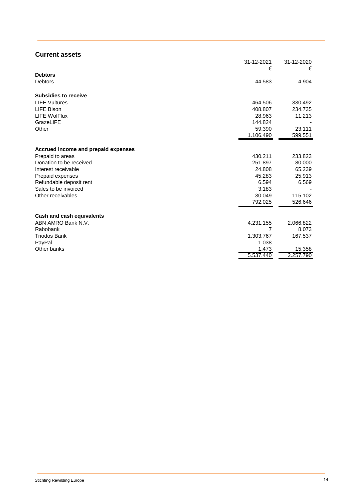## **Current assets**

|                                     | 31-12-2021 | 31-12-2020 |
|-------------------------------------|------------|------------|
|                                     | €          | €          |
| <b>Debtors</b>                      |            |            |
| <b>Debtors</b>                      | 44.583     | 4.904      |
|                                     |            |            |
| <b>Subsidies to receive</b>         |            |            |
| <b>LIFE Vultures</b>                | 464.506    | 330.492    |
| <b>LIFE Bison</b>                   | 408.807    | 234.735    |
| <b>LIFE WolFlux</b>                 | 28.963     | 11.213     |
| GrazeLIFE                           | 144.824    |            |
| Other                               | 59.390     | 23.111     |
|                                     | 1.106.490  | 599.551    |
|                                     |            |            |
| Accrued income and prepaid expenses |            |            |
| Prepaid to areas                    | 430.211    | 233.823    |
| Donation to be received             | 251.897    | 80.000     |
| Interest receivable                 | 24.808     | 65.239     |
| Prepaid expenses                    | 45.283     | 25.913     |
| Refundable deposit rent             | 6.594      | 6.569      |
| Sales to be invoiced                | 3.183      |            |
| Other receivables                   | 30.049     | 115.102    |
|                                     | 792.025    | 526.646    |
|                                     |            |            |
| <b>Cash and cash equivalents</b>    |            |            |
| ABN AMRO Bank N.V.                  | 4.231.155  | 2.066.822  |
| Rabobank                            | 7          | 8.073      |
| <b>Triodos Bank</b>                 | 1.303.767  | 167.537    |
| PayPal                              | 1.038      |            |
| Other banks                         | 1.473      | 15.358     |
|                                     | 5.537.440  | 2.257.790  |
|                                     |            |            |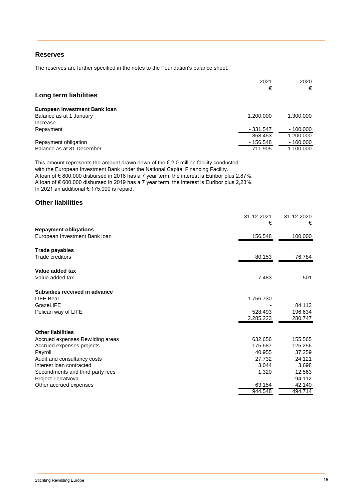## **Reserves**

The reserves are further specified in the notes to the Foundation's balance sheet.

|                               | 2021       | 2020       |
|-------------------------------|------------|------------|
| Long term liabilities         | €          | €          |
| European Investment Bank Ioan |            |            |
| Balance as at 1 January       | 1.200.000  | 1.300.000  |
| Increase                      |            |            |
| Repayment                     | $-331.547$ | $-100.000$ |
|                               | 868.453    | 1.200.000  |
| Repayment obligation          | $-156.548$ | $-100.000$ |
| Balance as at 31 December     | 711.905    | 1.100.000  |

This amount represents the amount drawn down of the  $\epsilon$  2.0 million facility conducted

with the European Investment Bank under the National Capital Financing Facility.

A loan of € 800.000 disbursed in 2018 has a 7 year term, the interest is Euribor plus 2,87%. A loan of € 600.000 disbursed in 2019 has a 7 year term, the interest is Euribor plus 2,23%. In 2021 an additional € 175.000 is repaid.

## **Other liabilities**

|                                  | 31-12-2021 | 31-12-2020 |
|----------------------------------|------------|------------|
|                                  | €          | €          |
| <b>Repayment obligations</b>     |            |            |
| European Investment Bank loan    | 156.548    | 100.000    |
| Trade payables                   |            |            |
| Trade creditors                  | 80.153     | 76.784     |
| Value added tax                  |            |            |
| Value added tax                  | 7.483      | 501        |
| Subsidies received in advance    |            |            |
| LIFE Bear                        | 1.756.730  |            |
| GrazeLIFE                        |            | 84.113     |
| Pelican way of LIFE              | 528.493    | 196.634    |
|                                  | 2.285.223  | 280.747    |
| <b>Other liabilities</b>         |            |            |
| Accrued expenses Rewilding areas | 632.656    | 155.565    |
| Accrued expenses projects        | 175.687    | 125.256    |
| Payroll                          | 40.955     | 37.259     |
| Audit and consultancy costs      | 27.732     | 24.121     |
| Interest loan contracted         | 3.044      | 3.698      |
| Secondments and third party fees | 1.320      | 12.563     |
| Project TerraNova                |            | 94.112     |
| Other accrued expenses           | 63.154     | 42.140     |
|                                  | 944.548    | 494.714    |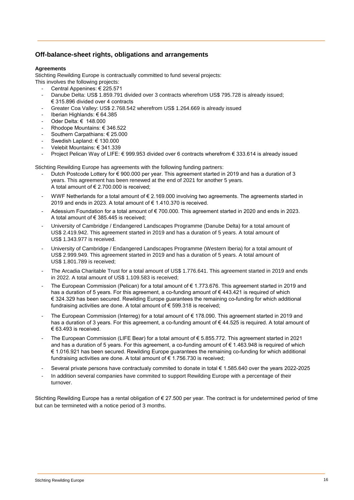## **Off-balance-sheet rights, obligations and arrangements**

## **Agreements**

Stichting Rewilding Europe is contractually committed to fund several projects:

- This involves the following projects:
	- Central Appenines: € 225.571
	- Danube Delta: US\$ 1.859.791 divided over 3 contracts wherefrom US\$ 795.728 is already issued; € 315.896 divided over 4 contracts
	- Greater Coa Valley: US\$ 2.768.542 wherefrom US\$ 1.264.669 is already issued
	- Iberian Highlands: € 64.385
	- Oder Delta: € 148.000
	- Rhodope Mountains: € 346.522
	- Southern Carpathians: € 25.000
	- Swedish Lapland: € 130.000
	- Velebit Mountains: € 341.339
	- Project Pelican Way of LIFE: € 999.953 divided over 6 contracts wherefrom € 333.614 is already issued

Stichting Rewilding Europe has agreements with the following funding partners:

- Dutch Postcode Lottery for € 900.000 per year. This agreement started in 2019 and has a duration of 3 years. This agreement has been renewed at the end of 2021 for another 5 years. A total amount of  $\epsilon$  2.700.000 is received:
- WWF Netherlands for a total amount of € 2.169.000 involving two agreements. The agreements started in 2019 and ends in 2023. A total amount of € 1.410.370 is received.
- Adessium Foundation for a total amount of € 700.000. This agreement started in 2020 and ends in 2023. A total amount of € 385.445 is received;
- University of Cambridge / Endangered Landscapes Programme (Danube Delta) for a total amount of US\$ 2.419.942. This agreement started in 2019 and has a duration of 5 years. A total amount of US\$ 1.343.977 is received.
- University of Cambridge / Endangered Landscapes Programme (Western Iberia) for a total amount of US\$ 2.999.949. This agreement started in 2019 and has a duration of 5 years. A total amount of US\$ 1.801.789 is received;
- The Arcadia Charitable Trust for a total amount of US\$ 1.776.641. This agreement started in 2019 and ends in 2022. A total amount of US\$ 1.109.583 is received;
- The European Commission (Pelican) for a total amount of € 1.773.676. This agreement started in 2019 and has a duration of 5 years. For this agreement, a co-funding amount of €443.421 is required of which € 324.329 has been secured. Rewilding Europe guarantees the remaining co-funding for which additional fundraising activities are done. A total amount of € 599.318 is received;
- The European Commission (Interreg) for a total amount of € 178.090. This agreement started in 2019 and has a duration of 3 years. For this agreement, a co-funding amount of € 44.525 is required. A total amount of € 63.493 is received.
- The European Commission (LIFE Bear) for a total amount of € 5.855.772. This agreement started in 2021 and has a duration of 5 years. For this agreement, a co-funding amount of € 1.463.948 is required of which € 1.016.921 has been secured. Rewilding Europe guarantees the remaining co-funding for which additional fundraising activities are done. A total amount of  $\epsilon$  1.756.730 is received;
- Several private persons have contractualy commited to donate in total € 1.585.640 over the years 2022-2025
- In addition several companies have commited to support Rewilding Europe with a percentage of their turnover.

Stichting Rewilding Europe has a rental obligation of € 27.500 per year. The contract is for undetermined period of time but can be termineted with a notice period of 3 months.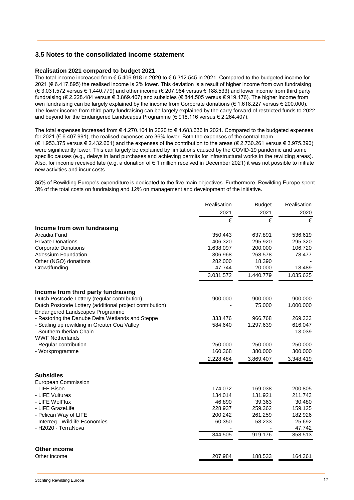## **3.5 Notes to the consolidated income statement**

### **Realisation 2021 compared to budget 2021**

The total income increased from € 5.406.918 in 2020 to € 6.312.545 in 2021. Compared to the budgeted income for 2021 (€ 6.417.895) the realised income is 2% lower. This deviation is a result of higher income from own fundraising (€ 3.031.572 versus € 1.440.779) and other income (€ 207.984 versus € 188.533) and lower income from third party fundraising (€ 2.228.484 versus € 3.869.407) and subsidies (€ 844.505 versus € 919.176). The higher income from own fundraising can be largely explained by the income from Corporate donations (€ 1.618.227 versus € 200.000). The lower income from third party fundraising can be largely explained by the carry forward of restricted funds to 2022 and beyond for the Endangered Landscapes Programme ( $\in$  918.116 versus  $\in$  2.264.407).

The total expenses increased from € 4.270.104 in 2020 to € 4.683.636 in 2021. Compared to the budgeted expenses for 2021 (€ 6.407.991), the realised expenses are 36% lower. Both the expenses of the central team (€ 1.953.375 versus € 2.432.601) and the expenses of the contribution to the areas (€ 2.730.261 versus € 3.975.390) were significantly lower. This can largely be explained by limitations caused by the COVID-19 pandemic and some specific causes (e.g., delays in land purchases and achieving permits for infrastructural works in the rewilding areas). Also, for income received late (e.g. a donation of € 1 million received in December 2021) it was not possible to initiate new activities and incur costs.

85% of Rewilding Europe's expenditure is dedicated to the five main objectives. Furthermore, Rewilding Europe spent 3% of the total costs on fundraising and 12% on management and development of the initiative.

|                                                                                             | Realisation | <b>Budget</b> | Realisation |
|---------------------------------------------------------------------------------------------|-------------|---------------|-------------|
|                                                                                             | 2021        | 2021          | 2020        |
|                                                                                             | €           | €             | €           |
| Income from own fundraising                                                                 |             |               |             |
| Arcadia Fund                                                                                | 350.443     | 637.891       | 536.619     |
| <b>Private Donations</b>                                                                    | 406.320     | 295.920       | 295.320     |
| <b>Corporate Donations</b>                                                                  | 1.638.097   | 200.000       | 106.720     |
| Adessium Foundation                                                                         | 306.968     | 268.578       | 78.477      |
| Other (NGO) donations                                                                       | 282.000     | 18.390        |             |
| Crowdfunding                                                                                | 47.744      | 20.000        | 18.489      |
|                                                                                             | 3.031.572   | 1.440.779     | 1.035.625   |
| Income from third party fundraising                                                         |             |               |             |
| Dutch Postcode Lottery (regular contribution)                                               | 900.000     | 900.000       | 900.000     |
| Dutch Postcode Lottery (additional project contribution)<br>Endangered Landscapes Programme |             | 75.000        | 1.000.000   |
| - Restoring the Danube Delta Wetlands and Steppe                                            | 333.476     | 966.768       | 269.333     |
| - Scaling up rewilding in Greater Coa Valley                                                | 584.640     | 1.297.639     | 616.047     |
| - Southern Iberian Chain                                                                    |             |               | 13.039      |
| <b>WWF Netherlands</b>                                                                      |             |               |             |
| - Regular contribution                                                                      | 250,000     | 250,000       | 250.000     |
| - Workprogramme                                                                             | 160.368     | 380.000       | 300.000     |
|                                                                                             | 2.228.484   | 3.869.407     | 3.348.419   |
| <b>Subsidies</b>                                                                            |             |               |             |
| European Commission                                                                         |             |               |             |
| - LIFE Bison                                                                                | 174.072     | 169.038       | 200.805     |
| - LIFE Vultures                                                                             | 134.014     | 131.921       | 211.743     |
| - LIFE WolFlux                                                                              | 46.890      | 39.363        | 30.480      |
| - LIFE GrazeLife                                                                            | 228.937     | 259.362       | 159.125     |
| - Pelican Way of LIFE                                                                       | 200.242     | 261.259       | 182.926     |
| - Interreg - Wildlife Economies                                                             | 60.350      | 58.233        | 25.692      |
| - H2020 - TerraNova                                                                         |             |               | 47.742      |
|                                                                                             | 844.505     | 919.176       | 858.513     |
| Other income                                                                                |             |               |             |
| Other income                                                                                | 207.984     | 188.533       | 164.361     |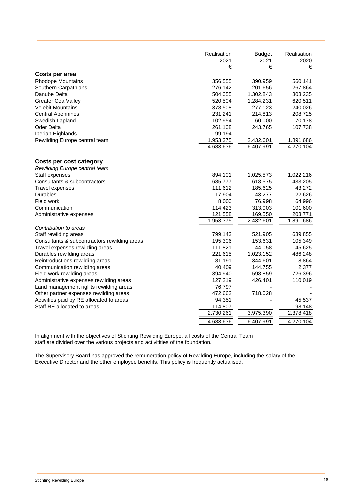|                                              | Realisation<br>2021 | <b>Budget</b><br>2021 | Realisation<br>2020 |
|----------------------------------------------|---------------------|-----------------------|---------------------|
|                                              | €                   | €                     | €                   |
| Costs per area                               |                     |                       |                     |
| <b>Rhodope Mountains</b>                     | 356.555             | 390.959               | 560.141             |
| Southern Carpathians                         | 276.142             | 201.656               | 267.864             |
| Danube Delta                                 | 504.055             | 1.302.843             | 303.235             |
| <b>Greater Coa Valley</b>                    | 520.504             | 1.284.231             | 620.511             |
| <b>Velebit Mountains</b>                     | 378.508             | 277.123               | 240.026             |
| <b>Central Apennines</b>                     | 231.241             | 214.813               | 208.725             |
| Swedish Lapland                              | 102.954             | 60.000                | 70.178              |
| <b>Oder Delta</b>                            | 261.108             | 243.765               | 107.738             |
| Iberian Highlands                            | 99.194              |                       |                     |
| Rewilding Europe central team                | 1.953.375           | 2.432.601             | 1.891.686           |
|                                              | 4.683.636           | 6.407.991             | 4.270.104           |
|                                              |                     |                       |                     |
| Costs per cost category                      |                     |                       |                     |
| Rewilding Europe central team                |                     |                       |                     |
| Staff expenses                               | 894.101             | 1.025.573             | 1.022.216           |
| Consultants & subcontractors                 | 685.777             | 618.575               | 433.205             |
| Travel expenses                              | 111.612             | 185.625               | 43.272              |
| <b>Durables</b>                              | 17.904              | 43.277                | 22.626              |
| Field work                                   | 8.000               | 76.998                | 64.996              |
| Communication                                | 114.423             | 313.003               | 101.600             |
| Administrative expenses                      | 121.558             | 169.550               | 203.771             |
|                                              | 1.953.375           | 2.432.601             | 1.891.686           |
| Contribution to areas                        |                     |                       |                     |
| Staff rewilding areas                        | 799.143             | 521.905               | 639.855             |
| Consultants & subcontractors rewilding areas | 195.306             | 153.631               | 105.349             |
| Travel expenses rewilding areas              | 111.821             | 44.058                | 45.625              |
| Durables rewilding areas                     | 221.615             | 1.023.152             | 486.248             |
| Reintroductions rewilding areas              | 81.191              | 344.601               | 18.864              |
| Communication rewilding areas                | 40.409              | 144.755               | 2.377               |
| Field work rewilding areas                   | 394.940             | 598.859               | 726.396             |
| Administrative expenses rewilding areas      | 127.219             | 426.401               | 110.019             |
| Land management rights rewilding areas       | 76.797              |                       |                     |
| Other partner expenses rewilding areas       | 472.662             | 718.028               |                     |
| Activities paid by RE allocated to areas     | 94.351              |                       | 45.537              |
| Staff RE allocated to areas                  | 114.807             |                       | 198.148             |
|                                              | 2.730.261           | 3.975.390             | 2.378.418           |
|                                              | 4.683.636           | 6.407.991             | 4.270.104           |

In alignment with the objectives of Stichting Rewilding Europe, all costs of the Central Team staff are divided over the various projects and activitities of the foundation.

The Supervisory Board has approved the remuneration policy of Rewilding Europe, including the salary of the Executive Director and the other employee benefits. This policy is frequently actualised.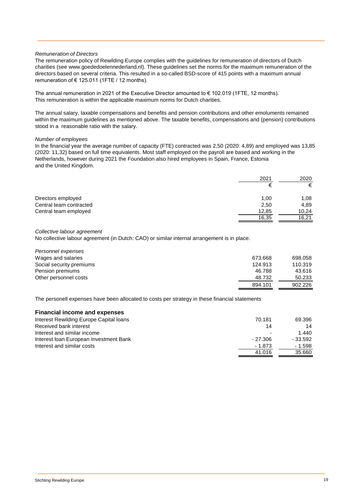## *Remuneration of Directors*

The remuneration policy of Rewilding Europe complies with the guidelines for remuneration of directors of Dutch charities (see www.goededoelennederland.nl). These guidelines set the norms for the maximum remuneration of the directors based on several criteria. This resulted in a so-called BSD-score of 415 points with a maximum annual remuneration of  $\epsilon$  125.011 (1FTE / 12 months).

The annual remuneration in 2021 of the Executive Director amounted to  $\epsilon$  102.019 (1FTE, 12 months). This remuneration is within the applicable maximum norms for Dutch charities.

The annual salary, taxable compensations and benefits and pension contributions and other emoluments remained within the maximum guidelines as mentioned above. The taxable benefits, compensations and (pension) contributions stood in a reasonable ratio with the salary.

#### *Number of employees*

In the financial year the average number of capacity (FTE) contracted was 2,50 (2020: 4,89) and employed was 13,85 (2020: 11,32) based on full time equivalents. Most staff employed on the payroll are based and working in the Netherlands, however during 2021 the Foundation also hired employees in Spain, France, Estonia and the United Kingdom.

|                         | 2021  | 2020  |
|-------------------------|-------|-------|
|                         | €     | €     |
| Directors employed      | 1,00  | 1,08  |
| Central team contracted | 2,50  | 4,89  |
| Central team employed   | 12,85 | 10,24 |
|                         | 16,35 | 16,21 |

## *Collective labour agreement*

No collective labour agreement (in Dutch: CAO) or similar internal arrangement is in place.

| Personnel expenses       |         |         |
|--------------------------|---------|---------|
| Wages and salaries       | 673.668 | 698.058 |
| Social security premiums | 124.913 | 110.319 |
| Pension premiums         | 46.788  | 43.616  |
| Other personnel costs    | 48.732  | 50.233  |
|                          | 894.101 | 902.226 |

The personell expenses have been allocated to costs per strategy in these financial statements

| <b>Financial income and expenses</b>    |           |          |
|-----------------------------------------|-----------|----------|
| Interest Rewilding Europe Capital loans | 70.181    | 69.396   |
| Received bank interest                  | 14        | 14       |
| Interest and similar income             |           | 1.440    |
| Interest Ioan European Investment Bank  | $-27.306$ | - 33.592 |
| Interest and similar costs              | $-1.873$  | $-1.598$ |
|                                         | 41.016    | 35.660   |
|                                         |           |          |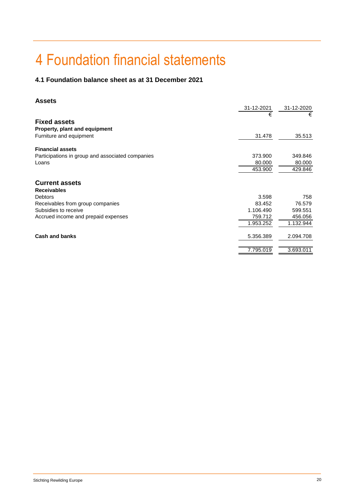## 4 Foundation financial statements

## **4.1 Foundation balance sheet as at 31 December 2021**

## **Assets**

|                                                  | 31-12-2021 | 31-12-2020 |
|--------------------------------------------------|------------|------------|
|                                                  | €          | €          |
| <b>Fixed assets</b>                              |            |            |
| <b>Property, plant and equipment</b>             |            |            |
| Furniture and equipment                          | 31.478     | 35.513     |
| <b>Financial assets</b>                          |            |            |
| Participations in group and associated companies | 373.900    | 349.846    |
| Loans                                            | 80,000     | 80.000     |
|                                                  | 453.900    | 429.846    |
| <b>Current assets</b>                            |            |            |
| <b>Receivables</b>                               |            |            |
| <b>Debtors</b>                                   | 3.598      | 758        |
| Receivables from group companies                 | 83.452     | 76.579     |
| Subsidies to receive                             | 1.106.490  | 599.551    |
| Accrued income and prepaid expenses              | 759.712    | 456.056    |
|                                                  | 1.953.252  | 1.132.944  |
| Cash and banks                                   | 5.356.389  | 2.094.708  |
|                                                  | 7.795.019  | 3.693.011  |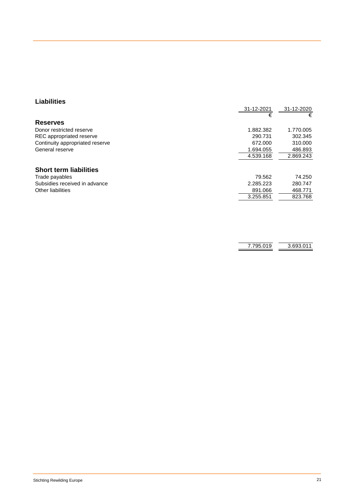## **Liabilities**

|                                 | 31-12-2021 | 31-12-2020 |
|---------------------------------|------------|------------|
|                                 | €          | €          |
| <b>Reserves</b>                 |            |            |
| Donor restricted reserve        | 1.882.382  | 1.770.005  |
| REC appropriated reserve        | 290.731    | 302.345    |
| Continuity appropriated reserve | 672.000    | 310,000    |
| General reserve                 | 1.694.055  | 486.893    |
|                                 | 4.539.168  | 2.869.243  |
| <b>Short term liabilities</b>   |            |            |
| Trade payables                  | 79.562     | 74.250     |
| Subsidies received in advance   | 2.285.223  | 280.747    |
| Other liabilities               | 891.066    | 468.771    |
|                                 | 3.255.851  | 823.768    |
|                                 |            |            |

| 693.011 |
|---------|
|         |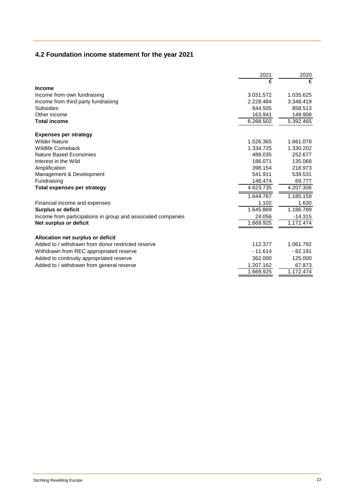## **4.2 Foundation income statement for the year 2021**

|                                                              | 2021      | 2020      |
|--------------------------------------------------------------|-----------|-----------|
|                                                              | €         | €         |
| <b>Income</b>                                                |           |           |
| Income from own fundraising                                  | 3.031.572 | 1.035.625 |
| Income from third party fundraising                          | 2.228.484 | 3.348.419 |
| Subsidies                                                    | 844.505   | 858.513   |
| Other income                                                 | 163.941   | 149.908   |
| <b>Total income</b>                                          | 6.268.502 | 5.392.465 |
| <b>Expenses per strategy</b>                                 |           |           |
| <b>Wilder Nature</b>                                         | 1.526.365 | 1.661.078 |
| <b>Wildlife Comeback</b>                                     | 1.334.725 | 1.330.202 |
| <b>Nature Based Economies</b>                                | 488.035   | 252.677   |
| Interest in the Wild                                         | 186.071   | 135.068   |
| Amplification                                                | 398.154   | 218.973   |
| Management & Development                                     | 541.911   | 539.531   |
| Fundraising                                                  | 148.474   | 69.777    |
| <b>Total expenses per strategy</b>                           | 4.623.735 | 4.207.306 |
|                                                              | 1.644.767 | 1.185.159 |
| Financial income and expenses                                | 1.102     | 1.630     |
| <b>Surplus or deficit</b>                                    | 1.645.869 | 1.186.789 |
| Income from participations in group and associated companies | 24.056    | $-14.315$ |
| Net surplus or deficit                                       | 1.669.925 | 1.172.474 |
| Allocation net surplus or deficit                            |           |           |
| Added to / withdrawn from donor restricted reserve           | 112.377   | 1.061.792 |
| Withdrawn from REC appropriated reserve                      | $-11.614$ | $-82.191$ |
| Added to continuity appropriated reserve                     | 362,000   | 125.000   |
| Added to / withdrawn from general reserve                    | 1.207.162 | 67.873    |
|                                                              | 1.669.925 | 1.172.474 |
|                                                              |           |           |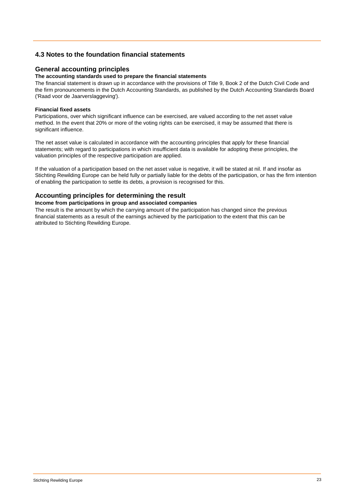## **4.3 Notes to the foundation financial statements**

## **General accounting principles**

### **The accounting standards used to prepare the financial statements**

The financial statement is drawn up in accordance with the provisions of Title 9, Book 2 of the Dutch Civil Code and the firm pronouncements in the Dutch Accounting Standards, as published by the Dutch Accounting Standards Board ('Raad voor de Jaarverslaggeving').

## **Financial fixed assets**

Participations, over which significant influence can be exercised, are valued according to the net asset value method. In the event that 20% or more of the voting rights can be exercised, it may be assumed that there is significant influence.

The net asset value is calculated in accordance with the accounting principles that apply for these financial statements; with regard to participations in which insufficient data is available for adopting these principles, the valuation principles of the respective participation are applied.

If the valuation of a participation based on the net asset value is negative, it will be stated at nil. If and insofar as Stichting Rewilding Europe can be held fully or partially liable for the debts of the participation, or has the firm intention of enabling the participation to settle its debts, a provision is recognised for this.

## **Accounting principles for determining the result**

#### **Income from participations in group and associated companies**

The result is the amount by which the carrying amount of the participation has changed since the previous financial statements as a result of the earnings achieved by the participation to the extent that this can be attributed to Stichting Rewilding Europe.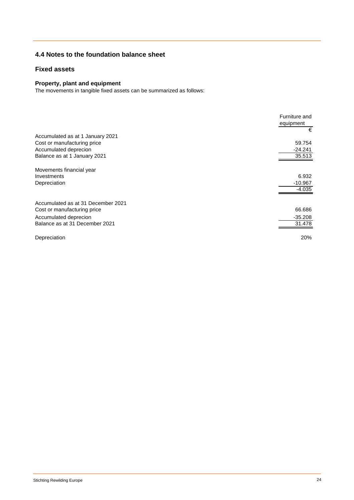## **4.4 Notes to the foundation balance sheet**

## **Fixed assets**

## **Property, plant and equipment**

The movements in tangible fixed assets can be summarized as follows:

|                                    | Furniture and<br>equipment<br>€ |
|------------------------------------|---------------------------------|
| Accumulated as at 1 January 2021   |                                 |
| Cost or manufacturing price        | 59.754                          |
| Accumulated deprecion              | $-24.241$                       |
| Balance as at 1 January 2021       | 35.513                          |
|                                    |                                 |
| Movements financial year           |                                 |
| Investments                        | 6.932                           |
| Depreciation                       | $-10.967$                       |
|                                    | $-4.035$                        |
|                                    |                                 |
| Accumulated as at 31 December 2021 |                                 |
| Cost or manufacturing price        | 66.686                          |
| Accumulated deprecion              | $-35.208$                       |
| Balance as at 31 December 2021     | 31.478                          |
|                                    |                                 |
| Depreciation                       | 20%                             |
|                                    |                                 |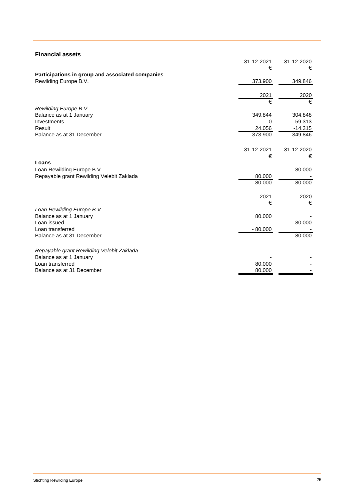| <b>Financial assets</b>                          |            |            |
|--------------------------------------------------|------------|------------|
|                                                  | 31-12-2021 | 31-12-2020 |
|                                                  | €          | €          |
| Participations in group and associated companies |            |            |
| Rewilding Europe B.V.                            | 373.900    | 349.846    |
|                                                  |            |            |
|                                                  | 2021       | 2020       |
|                                                  | €          | €          |
| Rewilding Europe B.V.                            |            |            |
| Balance as at 1 January                          | 349.844    | 304.848    |
| Investments                                      | 0          | 59.313     |
| Result                                           | 24.056     | $-14.315$  |
| Balance as at 31 December                        | 373.900    | 349.846    |
|                                                  |            |            |
|                                                  | 31-12-2021 | 31-12-2020 |
|                                                  | €          | €          |
| Loans                                            |            |            |
| Loan Rewilding Europe B.V.                       |            | 80.000     |
| Repayable grant Rewilding Velebit Zaklada        | 80.000     |            |
|                                                  | 80.000     | 80.000     |
|                                                  |            |            |
|                                                  | 2021       | 2020       |
|                                                  | €          | €          |
| Loan Rewilding Europe B.V.                       |            |            |
| Balance as at 1 January                          | 80.000     |            |
| Loan issued                                      |            | 80.000     |
| Loan transferred                                 | $-80.000$  |            |
| Balance as at 31 December                        |            | 80.000     |
|                                                  |            |            |
| Repayable grant Rewilding Velebit Zaklada        |            |            |
| Balance as at 1 January                          |            |            |
| Loan transferred                                 | 80.000     |            |
| Balance as at 31 December                        | 80.000     |            |
|                                                  |            |            |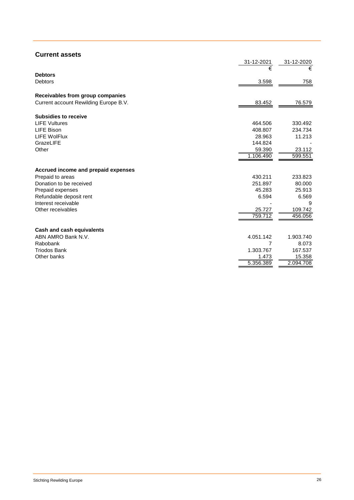| <b>Current assets</b>                 |            |            |
|---------------------------------------|------------|------------|
|                                       | 31-12-2021 | 31-12-2020 |
|                                       | €          | €          |
| <b>Debtors</b>                        |            |            |
| <b>Debtors</b>                        | 3.598      | 758        |
| Receivables from group companies      |            |            |
| Current account Rewilding Europe B.V. | 83.452     | 76.579     |
| <b>Subsidies to receive</b>           |            |            |
| <b>LIFE Vultures</b>                  | 464.506    | 330.492    |
| LIFE Bison                            | 408.807    | 234.734    |
| <b>LIFE WolFlux</b>                   | 28.963     | 11.213     |
| GrazeLIFE                             | 144.824    |            |
| Other                                 | 59.390     | 23.112     |
|                                       | 1.106.490  | 599.551    |
| Accrued income and prepaid expenses   |            |            |
| Prepaid to areas                      | 430.211    | 233.823    |
| Donation to be received               | 251.897    | 80.000     |
| Prepaid expenses                      | 45.283     | 25.913     |
| Refundable deposit rent               | 6.594      | 6.569      |
| Interest receivable                   |            | 9          |
| Other receivables                     | 25.727     | 109.742    |
|                                       | 759.712    | 456.056    |
| Cash and cash equivalents             |            |            |
| ABN AMRO Bank N.V.                    | 4.051.142  | 1.903.740  |
| Rabobank                              | 7          | 8.073      |
| <b>Triodos Bank</b>                   | 1.303.767  | 167.537    |
| Other banks                           | 1.473      | 15.358     |
|                                       | 5.356.389  | 2.094.708  |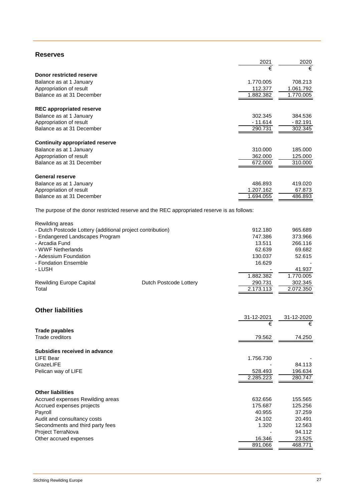## **Reserves**

|                                                                                             | 2021      | 2020      |
|---------------------------------------------------------------------------------------------|-----------|-----------|
|                                                                                             | €         | €         |
| Donor restricted reserve                                                                    |           |           |
| Balance as at 1 January                                                                     | 1.770.005 | 708.213   |
| Appropriation of result                                                                     | 112.377   | 1.061.792 |
| Balance as at 31 December                                                                   | 1.882.382 | 1.770.005 |
| <b>REC appropriated reserve</b>                                                             |           |           |
| Balance as at 1 January                                                                     | 302.345   | 384.536   |
| Appropriation of result                                                                     | $-11.614$ | - 82.191  |
| Balance as at 31 December                                                                   | 290.731   | 302.345   |
|                                                                                             |           |           |
| <b>Continuity appropriated reserve</b>                                                      |           |           |
| Balance as at 1 January                                                                     | 310.000   | 185,000   |
| Appropriation of result                                                                     | 362,000   | 125,000   |
| Balance as at 31 December                                                                   | 672.000   | 310.000   |
| <b>General reserve</b>                                                                      |           |           |
| Balance as at 1 January                                                                     | 486.893   | 419.020   |
| Appropriation of result                                                                     | 1.207.162 | 67.873    |
| Balance as at 31 December                                                                   | 1.694.055 | 486.893   |
| The purpose of the donor restricted reserve and the REC appropriated reserve is as follows: |           |           |
| Rewilding areas                                                                             |           |           |

| <b>INGWINDING CITY</b>                                     |                        |           |           |
|------------------------------------------------------------|------------------------|-----------|-----------|
| - Dutch Postcode Lottery (additional project contribution) |                        | 912.180   | 965.689   |
| - Endangered Landscapes Program                            |                        | 747.386   | 373.966   |
| - Arcadia Fund                                             |                        | 13.511    | 266.116   |
| - WWF Netherlands                                          |                        | 62.639    | 69.682    |
| - Adessium Foundation                                      |                        | 130.037   | 52.615    |
| - Fondation Ensemble                                       |                        | 16.629    |           |
| - LUSH                                                     |                        |           | 41.937    |
|                                                            |                        | 1.882.382 | 1.770.005 |
| <b>Rewilding Europe Capital</b>                            | Dutch Postcode Lottery | 290.731   | 302.345   |
| Total                                                      |                        | 2.173.113 | 2.072.350 |
|                                                            |                        |           |           |

## **Other liabilities**

|                                  | 31-12-2021 | 31-12-2020 |
|----------------------------------|------------|------------|
|                                  | €          | €          |
| Trade payables                   |            |            |
| Trade creditors                  | 79.562     | 74.250     |
| Subsidies received in advance    |            |            |
| LIFE Bear                        | 1.756.730  |            |
| GrazeLIFE                        |            | 84.113     |
| Pelican way of LIFE              | 528,493    | 196.634    |
|                                  | 2.285.223  | 280.747    |
| <b>Other liabilities</b>         |            |            |
|                                  | 632.656    | 155.565    |
| Accrued expenses Rewilding areas |            |            |
| Accrued expenses projects        | 175.687    | 125.256    |
| Payroll                          | 40.955     | 37.259     |
| Audit and consultancy costs      | 24.102     | 20.491     |
| Secondments and third party fees | 1.320      | 12.563     |
| Project TerraNova                |            | 94.112     |
| Other accrued expenses           | 16.346     | 23.525     |
|                                  | 891.066    | 468.771    |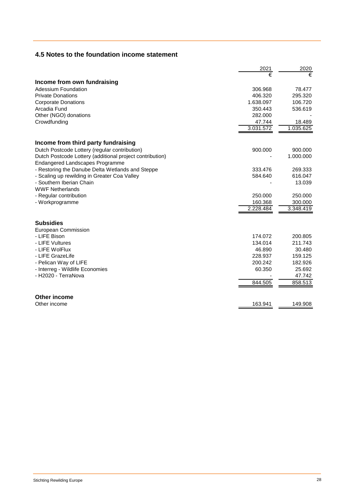## **4.5 Notes to the foundation income statement**

|                                                          | 2021      | 2020      |
|----------------------------------------------------------|-----------|-----------|
|                                                          | €         |           |
| Income from own fundraising                              |           |           |
| Adessium Foundation                                      | 306.968   | 78.477    |
| <b>Private Donations</b>                                 | 406.320   | 295.320   |
| <b>Corporate Donations</b>                               | 1.638.097 | 106.720   |
| Arcadia Fund                                             | 350.443   | 536.619   |
| Other (NGO) donations                                    | 282.000   |           |
| Crowdfunding                                             | 47.744    | 18.489    |
|                                                          | 3.031.572 | 1.035.625 |
| Income from third party fundraising                      |           |           |
| Dutch Postcode Lottery (regular contribution)            | 900.000   | 900.000   |
| Dutch Postcode Lottery (additional project contribution) |           | 1.000.000 |
| Endangered Landscapes Programme                          |           |           |
| - Restoring the Danube Delta Wetlands and Steppe         | 333.476   | 269.333   |
| - Scaling up rewilding in Greater Coa Valley             | 584.640   | 616.047   |
| - Southern Iberian Chain                                 |           | 13.039    |
| <b>WWF Netherlands</b>                                   |           |           |
| - Regular contribution                                   | 250.000   | 250.000   |
| - Workprogramme                                          | 160.368   | 300.000   |
|                                                          | 2.228.484 | 3.348.419 |
| <b>Subsidies</b>                                         |           |           |
| European Commission                                      |           |           |
| - LIFE Bison                                             | 174.072   | 200.805   |
| - LIFE Vultures                                          | 134.014   | 211.743   |
| - LIFE WolFlux                                           | 46.890    | 30.480    |
| - LIFE GrazeLife                                         | 228.937   | 159.125   |
| - Pelican Way of LIFE                                    | 200.242   | 182.926   |
| - Interreg - Wildlife Economies                          | 60.350    | 25.692    |
| - H2020 - TerraNova                                      |           | 47.742    |
|                                                          | 844.505   | 858.513   |
| <b>Other income</b>                                      |           |           |
| Other income                                             | 163.941   | 149.908   |
|                                                          |           |           |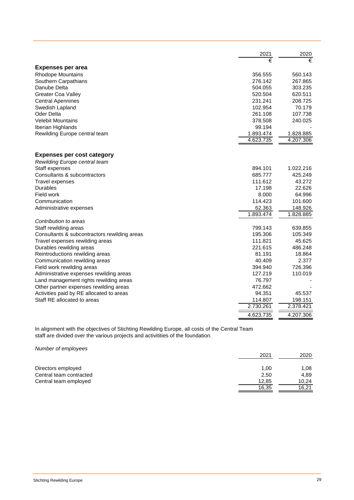|                                              | 2021      | 2020      |
|----------------------------------------------|-----------|-----------|
|                                              | €         |           |
| <b>Expenses per area</b>                     |           |           |
| <b>Rhodope Mountains</b>                     | 356.555   | 560.143   |
| Southern Carpathians                         | 276.142   | 267.865   |
| Danube Delta                                 | 504.055   | 303.235   |
| <b>Greater Coa Valley</b>                    | 520.504   | 620.511   |
| <b>Central Apennines</b>                     | 231.241   | 208.725   |
| Swedish Lapland                              | 102.954   | 70.179    |
| Oder Delta                                   | 261.108   | 107.738   |
| <b>Velebit Mountains</b>                     | 378.508   | 240.025   |
| Iberian Highlands                            | 99.194    |           |
| Rewilding Europe central team                | 1.893.474 | 1.828.885 |
|                                              | 4.623.735 | 4.207.306 |
|                                              |           |           |
| <b>Expenses per cost category</b>            |           |           |
| Rewilding Europe central team                |           |           |
| Staff expenses                               | 894.101   | 1.022.216 |
| Consultants & subcontractors                 | 685.777   | 425.249   |
| <b>Travel expenses</b>                       | 111.612   | 43.272    |
| Durables                                     | 17.198    | 22.626    |
| Field work                                   | 8.000     | 64.996    |
| Communication                                | 114.423   | 101.600   |
| Administrative expenses                      | 62.363    | 148.926   |
|                                              | 1.893.474 | 1.828.885 |
| Contribution to areas                        |           |           |
| Staff rewilding areas                        | 799.143   | 639.855   |
| Consultants & subcontractors rewilding areas | 195.306   | 105.349   |
| Travel expenses rewilding areas              | 111.821   | 45.625    |
| Durables rewilding areas                     | 221.615   | 486.248   |
| Reintroductions rewilding areas              | 81.191    | 18.864    |
| Communication rewilding areas                | 40.409    | 2.377     |
| Field work rewilding areas                   | 394.940   | 726.396   |
| Administrative expenses rewilding areas      | 127.219   | 110.019   |
| Land management rights rewilding areas       | 76.797    |           |
| Other partner expenses rewilding areas       | 472.662   |           |
| Activities paid by RE allocated to areas     | 94.351    | 45.537    |
| Staff RE allocated to areas                  | 114.807   | 198.151   |
|                                              | 2.730.261 | 2.378.421 |
|                                              | 4.623.735 | 4.207.306 |

In alignment with the objectives of Stichting Rewilding Europe, all costs of the Central Team staff are divided over the various projects and activitities of the foundation.

*Number of employees*

|                         | 2021  | 2020  |
|-------------------------|-------|-------|
|                         |       |       |
| Directors employed      | 1,00  | 1,08  |
| Central team contracted | 2,50  | 4.89  |
| Central team employed   | 12,85 | 10.24 |
|                         | 16.35 | 16,21 |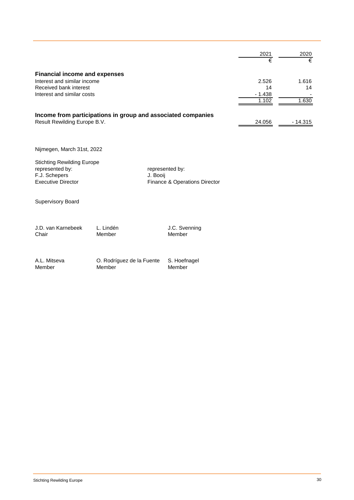|                                                              | 2021<br>€ | 2020<br>€ |
|--------------------------------------------------------------|-----------|-----------|
| <b>Financial income and expenses</b>                         |           |           |
| Interest and similar income                                  | 2.526     | 1.616     |
| Received bank interest                                       | 14        | 14        |
| Interest and similar costs                                   | $-1.438$  |           |
|                                                              | 1.102     | 1.630     |
| Income from participations in group and associated companies |           |           |
| Result Rewilding Europe B.V.                                 | 24.056    | - 14.315  |

Nijmegen, March 31st, 2022

Stichting Rewilding Europe<br>represented by: F.J. Schepers<br>Executive Director

represented by:<br>J. Booij Finance & Operations Director

Supervisory Board

J.D. van Karnebeek L. Lindén Member J.C. Svenning<br>Chair Member Member Member

Member

A.L. Mitseva O. Rodríguez de la Fuente S. Hoefnagel Member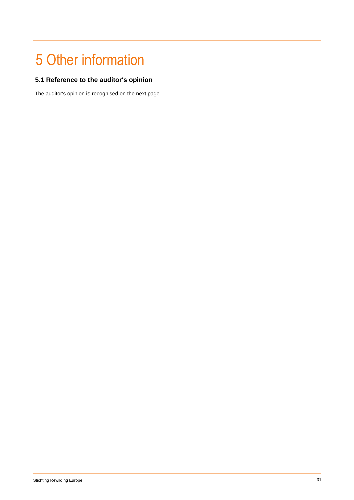## 5 Other information

## **5.1 Reference to the auditor's opinion**

The auditor's opinion is recognised on the next page.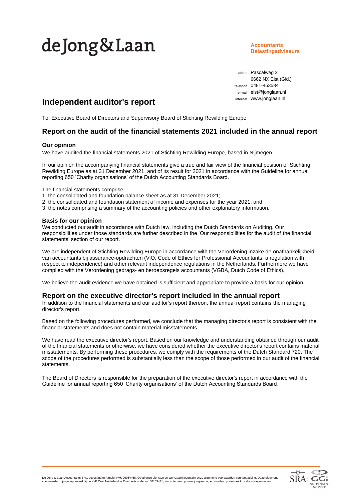# deJong&Laan

**Accountants Belastingadviseurs**

adres Pascalweg 2 6662 NX Elst (Gld.) telefoon 0481-463534 e-mail elst@jonglaan.nl internet www.jonglaan.nl

## **Independent auditor's report**

To: Executive Board of Directors and Supervisory Board of Stichting Rewilding Europe

## **Report on the audit of the financial statements 2021 included in the annual report**

## **Our opinion**

We have audited the financial statements 2021 of Stichting Rewilding Europe, based in Nijmegen.

In our opinion the accompanying financial statements give a true and fair view of the financial position of Stichting Rewilding Europe as at 31 December 2021, and of its result for 2021 in accordance with the Guideline for annual reporting 650 'Charity organisations' of the Dutch Accounting Standards Board.

The financial statements comprise:

- 1 the consolidated and foundation balance sheet as at 31 December 2021;
- 2 the consolidated and foundation statement of income and expenses for the year 2021; and
- 3 the notes comprising a summary of the accounting policies and other explanatory information.

## **Basis for our opinion**

We conducted our audit in accordance with Dutch law, including the Dutch Standards on Auditing. Our responsibilities under those standards are further described in the 'Our responsibilities for the audit of the financial statements' section of our report.

We are independent of Stichting Rewilding Europe in accordance with the Verordening inzake de onafhankelijkheid van accountants bij assurance-opdrachten (ViO, Code of Ethics for Professional Accountants, a regulation with respect to independence) and other relevant independence regulations in the Netherlands. Furthermore we have complied with the Verordening gedrags- en beroepsregels accountants (VGBA, Dutch Code of Ethics).

We believe the audit evidence we have obtained is sufficient and appropriate to provide a basis for our opinion.

## **Report on the executive director's report included in the annual report**

In addition to the financial statements and our auditor's report thereon, the annual report contains the managing director's report.

Based on the following procedures performed, we conclude that the managing director's report is consistent with the financial statements and does not contain material misstatements.

We have read the executive director's report. Based on our knowledge and understanding obtained through our audit of the financial statements or otherwise, we have considered whether the executive director's report contains material misstatements. By performing these procedures, we comply with the requirements of the Dutch Standard 720. The scope of the procedures performed is substantially less than the scope of those performed in our audit of the financial statements.

The Board of Directors is responsible for the preparation of the executive director's report in accordance with the Guideline for annual reporting 650 'Charity organisations' of the Dutch Accounting Standards Board.

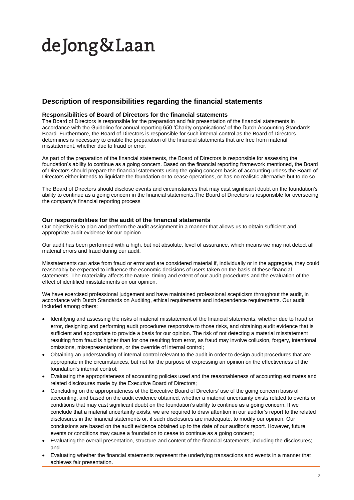# deJong&Laan

## **Description of responsibilities regarding the financial statements**

## **Responsibilities of Board of Directors for the financial statements**

The Board of Directors is responsible for the preparation and fair presentation of the financial statements in accordance with the Guideline for annual reporting 650 'Charity organisations' of the Dutch Accounting Standards Board. Furthermore, the Board of Directors is responsible for such internal control as the Board of Directors determines is necessary to enable the preparation of the financial statements that are free from material misstatement, whether due to fraud or error.

As part of the preparation of the financial statements, the Board of Directors is responsible for assessing the foundation's ability to continue as a going concern. Based on the financial reporting framework mentioned, the Board of Directors should prepare the financial statements using the going concern basis of accounting unless the Board of Directors either intends to liquidate the foundation or to cease operations, or has no realistic alternative but to do so.

The Board of Directors should disclose events and circumstances that may cast significant doubt on the foundation's ability to continue as a going concern in the financial statements. The Board of Directors is responsible for overseeing the company's financial reporting process

## **Our responsibilities for the audit of the financial statements**

Our objective is to plan and perform the audit assignment in a manner that allows us to obtain sufficient and appropriate audit evidence for our opinion.

Our audit has been performed with a high, but not absolute, level of assurance, which means we may not detect all material errors and fraud during our audit.

Misstatements can arise from fraud or error and are considered material if, individually or in the aggregate, they could reasonably be expected to influence the economic decisions of users taken on the basis of these financial statements. The materiality affects the nature, timing and extent of our audit procedures and the evaluation of the effect of identified misstatements on our opinion.

We have exercised professional judgement and have maintained professional scepticism throughout the audit, in accordance with Dutch Standards on Auditing, ethical requirements and independence requirements. Our audit included among others:

- Identifying and assessing the risks of material misstatement of the financial statements, whether due to fraud or error, designing and performing audit procedures responsive to those risks, and obtaining audit evidence that is sufficient and appropriate to provide a basis for our opinion. The risk of not detecting a material misstatement resulting from fraud is higher than for one resulting from error, as fraud may involve collusion, forgery, intentional omissions, misrepresentations, or the override of internal control;
- Obtaining an understanding of internal control relevant to the audit in order to design audit procedures that are appropriate in the circumstances, but not for the purpose of expressing an opinion on the effectiveness of the foundation's internal control;
- Evaluating the appropriateness of accounting policies used and the reasonableness of accounting estimates and related disclosures made by the Executive Board of Directors;
- Concluding on the appropriateness of the Executive Board of Directors' use of the going concern basis of accounting, and based on the audit evidence obtained, whether a material uncertainty exists related to events or conditions that may cast significant doubt on the foundation's ability to continue as a going concern. If we conclude that a material uncertainty exists, we are required to draw attention in our auditor's report to the related disclosures in the financial statements or, if such disclosures are inadequate, to modify our opinion. Our conclusions are based on the audit evidence obtained up to the date of our auditor's report. However, future events or conditions may cause a foundation to cease to continue as a going concern;
- Evaluating the overall presentation, structure and content of the financial statements, including the disclosures; and
- Evaluating whether the financial statements represent the underlying transactions and events in a manner that achieves fair presentation.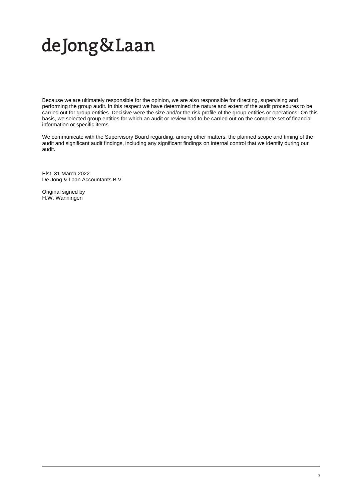# deJong&Laan

Because we are ultimately responsible for the opinion, we are also responsible for directing, supervising and performing the group audit. In this respect we have determined the nature and extent of the audit procedures to be carried out for group entities. Decisive were the size and/or the risk profile of the group entities or operations. On this basis, we selected group entities for which an audit or review had to be carried out on the complete set of financial information or specific items.

We communicate with the Supervisory Board regarding, among other matters, the planned scope and timing of the audit and significant audit findings, including any significant findings on internal control that we identify during our audit.

Elst, 31 March 2022 De Jong & Laan Accountants B.V.

Original signed by H.W. Wanningen